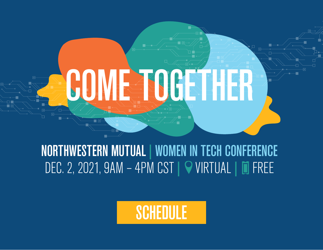

# NORTHWESTERN MUTUAL | WOMEN IN TECH CONFERENCE DEC. 2, 2021, 9AM - 4PM CST | 9 VIRTUAL | 0 FREE

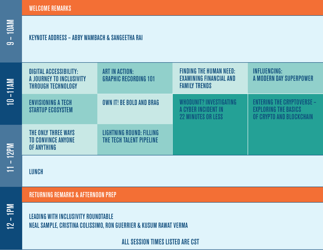10 –11AM

## KEYNOTE ADDRESS – ABBY WAMBACH & SANGEETHA RAI

| $-11AM$                    | <b>DIGITAL ACCESSIBILITY:</b><br>A JOURNEY TO INCLUSIVITY<br><b>THROUGH TECHNOLOGY</b> | <b>ART IN ACTION:</b><br><b>GRAPHIC RECORDING 101</b>       | <b>FINDING THE HUMAN NEED:</b><br><b>EXAMINING FINANCIAL AND</b><br><b>FAMILY TRENDS</b> | <b>INFLUENCING:</b><br>A MODERN DAY SUPERPOWER                                               |
|----------------------------|----------------------------------------------------------------------------------------|-------------------------------------------------------------|------------------------------------------------------------------------------------------|----------------------------------------------------------------------------------------------|
| $\equiv$                   | <b>ENVISIONING A TECH</b><br><b>STARTUP ECOSYSTEM</b>                                  | OWN IT! BE BOLD AND BRAG                                    | WHODUNIT? INVESTIGATING<br>A CYBER INCIDENT IN<br><b>22 MINUTES OR LESS</b>              | <b>ENTERING THE CRYPTOVERSE -</b><br><b>EXPLORING THE BASICS</b><br>OF CRYPTO AND BLOCKCHAIN |
| <b>12PM</b>                | THE ONLY THREE WAYS<br><b>TO CONVINCE ANYONE</b><br>OF ANYTHING                        | <b>LIGHTNING ROUND: FILLING</b><br>THE TECH TALENT PIPELINE |                                                                                          |                                                                                              |
| $\blacksquare$<br>$\equiv$ | <b>I UNCH</b>                                                                          |                                                             |                                                                                          |                                                                                              |

LUNCH

### RETURNING REMARKS & AFTERNOON PREP

LEADING WITH INCLUSIVITY ROUNDTABLE NEAL SAMPLE, CRISTINA COLISSIMO, RON GUERRIER & KUSUM RAWAT VERMA

ALL SESSION TIMES LISTED ARE CST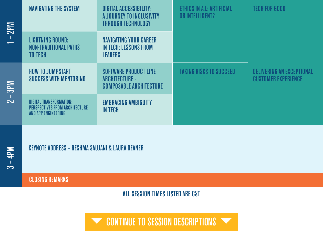| <b>Md2</b>                                 | <b>NAVIGATING THE SYSTEM</b>                                                                   | <b>DIGITAL ACCESSIBILITY:</b><br>A JOURNEY TO INCLUSIVITY<br><b>THROUGH TECHNOLOGY</b>  | ETHICS IN A.I.: ARTIFICIAL<br>OR INTELLIGENT? | <b>TECH FOR GOOD</b>                                           |
|--------------------------------------------|------------------------------------------------------------------------------------------------|-----------------------------------------------------------------------------------------|-----------------------------------------------|----------------------------------------------------------------|
| $\blacksquare$<br>$\overline{\phantom{0}}$ | <b>LIGHTNING ROUND:</b><br><b>NON-TRADITIONAL PATHS</b><br><b>TO TECH</b>                      | <b>NAVIGATING YOUR CAREER</b><br><b>IN TECH: LESSONS FROM</b><br>LEADERS                |                                               |                                                                |
| <b>Ne</b><br>$\sim$                        | <b>HOW TO JUMPSTART</b><br><b>SUCCESS WITH MENTORING</b>                                       | <b>SOFTWARE PRODUCT LINE</b><br><b>ARCHITECTURE -</b><br><b>COMPOSABLE ARCHITECTURE</b> | <b>TAKING RISKS TO SUCCEED</b>                | <b>DELIVERING AN EXCEPTIONAL</b><br><b>CUSTOMER EXPERIENCE</b> |
|                                            | <b>DIGITAL TRANSFORMATION:</b><br><b>PERSPECTIVES FROM ARCHITECTURE</b><br>AND APP ENGINEERING | <b>EMBRACING AMBIGUITY</b><br><b>IN TECH</b>                                            |                                               |                                                                |

## KEYNOTE ADDRESS – RESHMA SAUJANI & LAURA DEANER

CLOSING REMARKS

ALL SESSION TIMES LISTED ARE CST

**VECONTINUE TO SESSION DESCRIPTIONS VECONTINUE TO SESSION DESCRIPTIONS**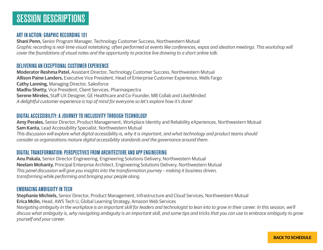#### ART IN ACTION: GRAPHIC RECORDING 101

**Shani Penn,** Senior Program Manager, Technology Customer Success, Northwestern Mutual *Graphic recording is real-time visual notetaking, often performed at events like conferences, expos and ideation meetings. This workshop will cover the foundations of visual notes and the opportunity to practice live drawing to a short online talk.* 

#### DELIVERING AN EXCEPTIONAL CUSTOMER EXPERIENCE

**Moderator Reshma Patel,** Assistant Director, Technology Customer Success, Northwestern Mutual **Allison Paine Landers,** Executive Vice President, Head of Enterprise Customer Experience, Wells Fargo **Cathy Lanning,** Managing Director, Salesforce **Madhu Shetty,** Vice President, Client Services, Pharmaspectra **Serene Mireles,** Staff UX Designer, GE Healthcare and Co-Founder, MB Collab and Like|Minded *A delightful customer experience is top of mind for everyone so let's explore how it's done!*

#### DIGITAL ACCESSIBILITY: A JOURNEY TO INCLUSIVITY THROUGH TECHNOLOGY

**Amy Perales,** Senior Director, Product Management, Workplace Identity and Reliability eXperiences, Northwestern Mutual **Sam Kanta,** Lead Accessibility Specialist, Northwestern Mutual

*This discussion will explore what digital accessibility is, why it is important, and what technology and product teams should consider as organizations mature digital accessibility standards and the governance around them.*

#### DIGITAL TRANSFORMATION: PERSPECTIVES FROM ARCHITECTURE AND APP ENGINEERING

**Anu Pakala,** Senior Director Engineering, Engineering Solutions Delivery, Northwestern Mutual **Neelam Mohanty,** Principal Enterprise Architect, Engineering Solutions Delivery, Northwestern Mutual *This panel discussion will give you insights into the transformation journey – making it business driven, transforming while performing and bringing your people along.*

#### EMBRACING AMBIGUITY IN TECH

**Stephanie Michiels,** Senior Director, Product Management, Infrastructure and Cloud Services, Northwestern Mutual **Erica Mclin,** Head, AWS Tech U, Global Learning Strategy, Amazon Web Services

*Navigating ambiguity in the workplace is an important skill for leaders and technologist to lean into to grow in their career. In this session, we'll discuss what ambiguity is, why navigating ambiguity is an important skill, and some tips and tricks that you can use to embrace ambiguity to grow yourself and your career.*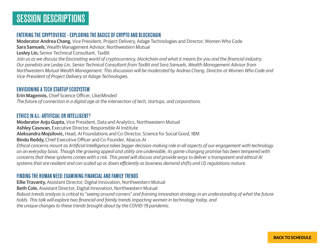#### ENTERING THE CRYPTOVERSE - EXPLORING THE BASICS OF CRYPTO AND BLOCKCHAIN

**Moderator Andrea Chang,** Vice President, Project Delivery, Adage Technologies and Director, Women Who Code **Sara Samuels,** Wealth Management Advisor, Northwestern Mutual **Lesley Lin,** Senior Technical Consultant, TaxBit

*Join us as we discuss the fascinating world of cryptocurrency, blockchain and what it means for you and the financial industry. Our panelists are Lesley Lin, Senior Technical Consultant from TaxBit and Sara Samuels, Wealth Management Advisor from Northwestern Mutual Wealth Management. This discussion will be moderated by Andrea Chang, Director at Women Who Code and Vice-President of Project Delivery at Adage Technologies.*

#### ENVISIONING A TECH STARTUP ECOSYSTEM

**Erin Magennis,** Chief Science Officer, Like|Minded *The future of connection in a digital age at the intersection of tech, startups, and corporations.* 

#### ETHICS IN A.I.: ARTIFICIAL OR INTELLIGENT?

**Moderator Anju Gupta,** Vice President, Data and Analytics, Northwestern Mutual **Ashley Casovan,** Executive Director, Responsible AI Institute **Aleksandra Mojsilovic,** Head, AI Foundations and Co-Director, Science for Social Good, IBM **Bindu Reddy,** Chief Executive Officer and Co-Founder, Abacus.AI *Ethical concerns mount as Artificial Intelligence takes bigger decision-making role in all aspects of our engagement with technology on an everyday basis. Though the growing appeal and utility are undeniable, its game-changing promise has been tempered with concerns that these systems comes with a risk. This panel will discuss and provide ways to deliver a transparent and ethical AI systems that are resilient and can scaled up or down efficiently as business demand shifts and US regulations mature.* 

#### FINDING THE HUMAN NEED: EXAMINING FINANCIAL AND FAMILY TRENDS

**Ellie Travanty,** Assistant Director, Digital Innovation, Northwestern Mutual **Beth Cole,** Assistant Director, Digital Innovation, Northwestern Mutual *Robust trends analysis is critical to "seeing around corners" and framing innovation strategy in an understanding of what the future holds. This talk will explore two financial and family trends impacting women in technology today, and the unique changes to these trends brought about by the COVID-19 pandemic.*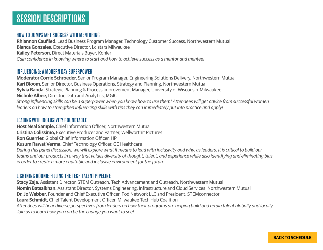#### HOW TO JUMPSTART SUCCESS WITH MENTORING

**Rhiannon Caufiled,** Lead Business Program Manager, Technology Customer Success, Northwestern Mutual **Blanca Gonzales,** Executive Director, i.c.stars Milwaukee **Kailey Peterson,** Direct Materials Buyer, Kohler *Gain confidence in knowing where to start and how to achieve success as a mentor and mentee!*

#### INFLUENCING: A MODERN DAY SUPERPOWER

**Moderator Corrie Schroeder,** Senior Program Manager, Engineering Solutions Delivery, Northwestern Mutual **Kari Bloom,** Senior Director, Business Operations, Strategy and Planning, Northwestern Mutual **Sylvia Banda,** Strategic Planning & Process Improvement Manager, University of Wisconsin-Milwaukee **Nichole Albee,** Director, Data and Analytics, MGIC *Strong influencing skills can be a superpower when you know how to use them! Attendees will get advice from successful women leaders on how to strengthen influencing skills with tips they can immediately put into practice and apply!*

#### LEADING WITH INCLUSIVITY ROUNDTABLE

**Host Neal Sample,** Chief Information Officer, Northwestern Mutual **Cristina Colissimo,** Executive Producer and Partner, Wellworthit Pictures **Ron Guerrier,** Global Chief Information Officer, HP **Kusum Rawat Verma,** Chief Technology Officer, GE Healthcare *During this panel discussion, we will explore what it means to lead with inclusivity and why, as leaders, it is critical to build our teams and our products in a way that values diversity of thought, talent, and experience while also identifying and eliminating bias in order to create a more equitable and inclusive environment for the future.* 

#### LIGHTNING ROUND: FILLING THE TECH TALENT PIPELINE

**Stacy Zaja,** Assistant Director, STEM Outreach, Tech Advancement and Outreach, Northwestern Mutual **Nomin Batsaikhan,** Assistant Director, Systems Engineering, Infrastructure and Cloud Services, Northwestern Mutual **Dr. Jo Webber,** Founder and Chief Executive Officer, Pod Network LLC and President, STEMconnector **Laura Schmidt,** Chief Talent Development Officer, Milwaukee Tech Hub Coalition *Attendees will hear diverse perspectives from leaders on how their programs are helping build and retain talent globally and locally. Join us to learn how you can be the change you want to see!*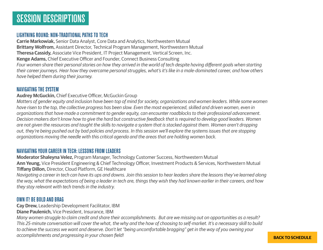#### LIGHTNING ROUND: NON-TRADITIONAL PATHS TO TECH

**Carrie Markowiak,** Senior Data Analyst, Core Data and Analytics, Northwestern Mutual **Brittany Wolfrom,** Assistant Director, Technical Program Management, Northwestern Mutual **Theresa Cassidy,** Associate Vice President, IT Project Management, Vertical Screen, Inc. **Kenge Adams,** Chief Executive Officer and Founder, Connect Business Consulting *Four women share their personal stories on how they arrived in the world of tech despite having different goals when starting their career journeys. Hear how they overcame personal struggles, what's it's like in a male-dominated career, and how others have helped them during their journey.*

#### NAVIGATING THE SYSTEM

**Audrey McGuckin,** Chief Executive Officer, McGuckin Group

*Matters of gender equity and inclusion have been top of mind for society, organizations and women leaders. While some women have risen to the top, the collective progress has been slow. Even the most experienced, skilled and driven women, even in organizations that have made a commitment to gender equity, can encounter roadblocks to their professional advancement. Decision makers don't know how to give the hard but constructive feedback that is required to develop good leaders. Women are not given the resources and taught the skills to navigate a system that is stacked against them. Women aren't dropping out, they're being pushed out by bad policies and process. In this session we'll explore the systems issues that are stopping organizations moving the needle with this critical agenda and the areas that are holding women back.* 

#### NAVIGATING YOUR CAREER IN TECH: LESSONS FROM LEADERS

**Moderator Shaleyna Velez,** Program Manager, Technology Customer Success, Northwestern Mutual **Ann Yeung,** Vice President Engineering & Chief Technology Officer, Investment Products & Services, Northwestern Mutual **Tiffany Dillon,** Director, Cloud Platform, GE Healthcare

*Navigating a career in tech can have its ups and downs. Join this session to hear leaders share the lessons they've learned along the way, what the expectations of being a leader in tech are, things they wish they had known earlier in their careers, and how they stay relevant with tech trends in the industry.*

#### OWN IT! BE BOLD AND BRAG

**Cay Drew,** Leadership Development Facilitator, IBM

**Diane Paulenich,** Vice President, Insurance, IBM

*Many women struggle to claim credit and share their accomplishments. But are we missing out on opportunities as a result? This 25-minute conversation will cover the what, the why and the how of choosing to self-market. It's a necessary skill to build to achieve the success we want and deserve. Don't let "being uncomfortable bragging" get in the way of you owning your accomplishments and progressing in your chosen field!*

#### **BACK TO SCHEDULE**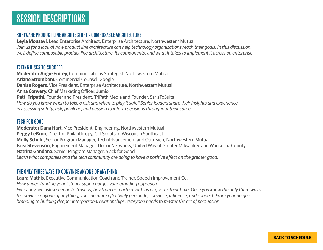## SESSION DESCRIPTIONS

#### SOFTWARE PRODUCT LINE ARCHITECTURE - COMPOSABLE ARCHITECTURE

**Leyla Mousavi,** Lead Enterprise Architect, Enterprise Architecture, Northwestern Mutual *Join us for a look at how product line architecture can help technology organizations reach their goals. In this discussion, we'll define composable product line architecture, its components, and what it takes to implement it across an enterprise.*

#### TAKING RISKS TO SUCCEED

**Moderator Angie Emrey,** Communications Strategist, Northwestern Mutual **Ariane Strombom,** Commercial Counsel, Google **Denise Rogers,** Vice President, Enterprise Architecture, Northwestern Mutual **Anna Convery,** Chief Marketing Officer, Jumio **Patti Tripathi,** Founder and President, TriPath Media and Founder, SarisToSuits *How do you know when to take a risk and when to play it safe? Senior leaders share their insights and experience in assessing safety, risk, privilege, and passion to inform decisions throughout their career.*

#### TECH FOR GOOD

**Moderator Dana Hart,** Vice President, Engineering, Northwestern Mutual **Peggy LeBrun,** Director, Philanthropy, Girl Scouts of Wisconsin Southeast **Molly Schuld,** Senior Program Manager, Tech Advancement and Outreach, Northwestern Mutual **Brea Stevenson,** Engagement Manager, Donor Networks, United Way of Greater Milwaukee and Waukesha County **Natrina Gandana,** Senior Program Manager, Slack for Good *Learn what companies and the tech community are doing to have a positive effect on the greater good.*

#### THE ONLY THREE WAYS TO CONVINCE ANYONE OF ANYTHING

**Laura Mathis,** Executive Communication Coach and Trainer, Speech Improvement Co.

*How understanding your listener supercharges your branding approach.* 

*Every day, we ask someone to trust us, buy from us, partner with us or give us their time. Once you know the only three ways to convince anyone of anything, you can more effectively persuade, convince, influence, and connect. From your unique branding to building deeper interpersonal relationships, everyone needs to master the art of persuasion.*